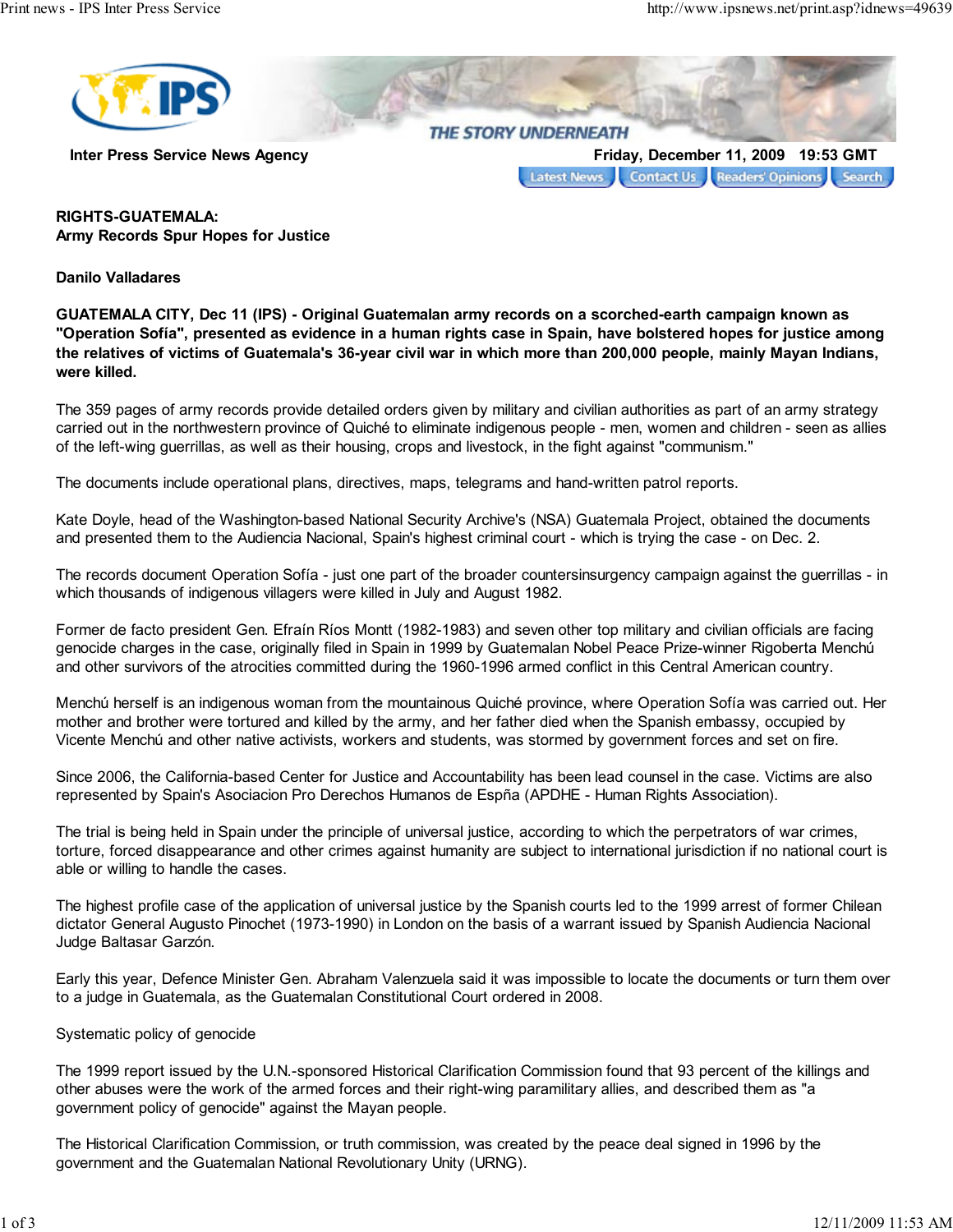

Inter Press Service News Agency **Finday, December 11, 2009** 19:53 GMT

Contact Us Readers' Opinions Search **Latest News** 

## RIGHTS-GUATEMALA: Army Records Spur Hopes for Justice

Danilo Valladares

GUATEMALA CITY, Dec 11 (IPS) - Original Guatemalan army records on a scorched-earth campaign known as "Operation Sofía", presented as evidence in a human rights case in Spain, have bolstered hopes for justice among the relatives of victims of Guatemala's 36-year civil war in which more than 200,000 people, mainly Mayan Indians, were killed.

The 359 pages of army records provide detailed orders given by military and civilian authorities as part of an army strategy carried out in the northwestern province of Quiché to eliminate indigenous people - men, women and children - seen as allies of the left-wing guerrillas, as well as their housing, crops and livestock, in the fight against "communism."

The documents include operational plans, directives, maps, telegrams and hand-written patrol reports.

Kate Doyle, head of the Washington-based National Security Archive's (NSA) Guatemala Project, obtained the documents and presented them to the Audiencia Nacional, Spain's highest criminal court - which is trying the case - on Dec. 2.

The records document Operation Sofía - just one part of the broader countersinsurgency campaign against the guerrillas - in which thousands of indigenous villagers were killed in July and August 1982.

Former de facto president Gen. Efraín Ríos Montt (1982-1983) and seven other top military and civilian officials are facing genocide charges in the case, originally filed in Spain in 1999 by Guatemalan Nobel Peace Prize-winner Rigoberta Menchú and other survivors of the atrocities committed during the 1960-1996 armed conflict in this Central American country.

Menchú herself is an indigenous woman from the mountainous Quiché province, where Operation Sofía was carried out. Her mother and brother were tortured and killed by the army, and her father died when the Spanish embassy, occupied by Vicente Menchú and other native activists, workers and students, was stormed by government forces and set on fire.

Since 2006, the California-based Center for Justice and Accountability has been lead counsel in the case. Victims are also represented by Spain's Asociacion Pro Derechos Humanos de Espña (APDHE - Human Rights Association).

The trial is being held in Spain under the principle of universal justice, according to which the perpetrators of war crimes, torture, forced disappearance and other crimes against humanity are subject to international jurisdiction if no national court is able or willing to handle the cases.

The highest profile case of the application of universal justice by the Spanish courts led to the 1999 arrest of former Chilean dictator General Augusto Pinochet (1973-1990) in London on the basis of a warrant issued by Spanish Audiencia Nacional Judge Baltasar Garzón.

Early this year, Defence Minister Gen. Abraham Valenzuela said it was impossible to locate the documents or turn them over to a judge in Guatemala, as the Guatemalan Constitutional Court ordered in 2008.

## Systematic policy of genocide

The 1999 report issued by the U.N.-sponsored Historical Clarification Commission found that 93 percent of the killings and other abuses were the work of the armed forces and their right-wing paramilitary allies, and described them as "a government policy of genocide" against the Mayan people.

The Historical Clarification Commission, or truth commission, was created by the peace deal signed in 1996 by the government and the Guatemalan National Revolutionary Unity (URNG).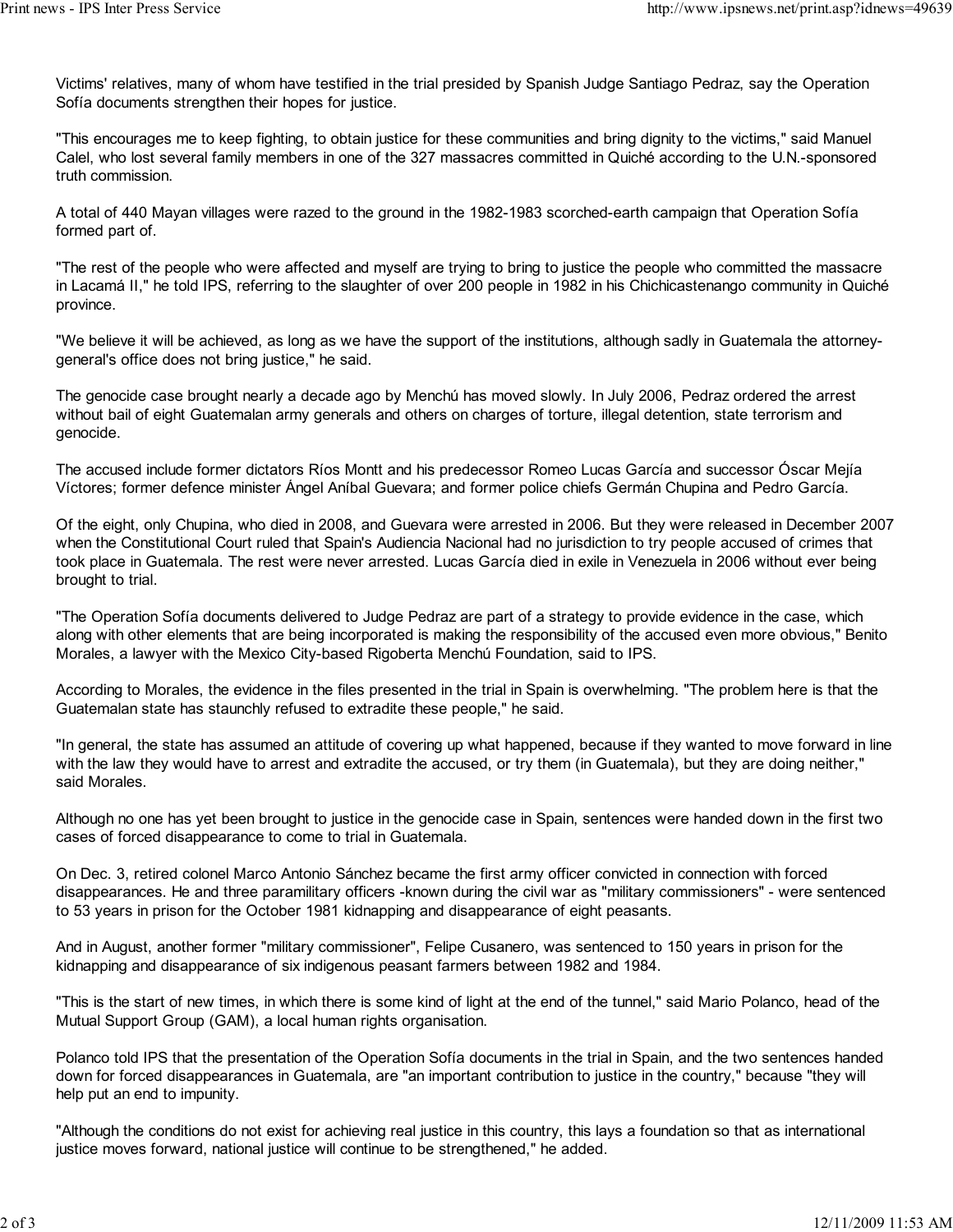Victims' relatives, many of whom have testified in the trial presided by Spanish Judge Santiago Pedraz, say the Operation Sofía documents strengthen their hopes for justice.

"This encourages me to keep fighting, to obtain justice for these communities and bring dignity to the victims," said Manuel Calel, who lost several family members in one of the 327 massacres committed in Quiché according to the U.N.-sponsored truth commission.

A total of 440 Mayan villages were razed to the ground in the 1982-1983 scorched-earth campaign that Operation Sofía formed part of.

"The rest of the people who were affected and myself are trying to bring to justice the people who committed the massacre in Lacamá II," he told IPS, referring to the slaughter of over 200 people in 1982 in his Chichicastenango community in Quiché province.

"We believe it will be achieved, as long as we have the support of the institutions, although sadly in Guatemala the attorneygeneral's office does not bring justice," he said.

The genocide case brought nearly a decade ago by Menchú has moved slowly. In July 2006, Pedraz ordered the arrest without bail of eight Guatemalan army generals and others on charges of torture, illegal detention, state terrorism and genocide.

The accused include former dictators Ríos Montt and his predecessor Romeo Lucas García and successor Óscar Mejía Víctores; former defence minister Ángel Aníbal Guevara; and former police chiefs Germán Chupina and Pedro García.

Of the eight, only Chupina, who died in 2008, and Guevara were arrested in 2006. But they were released in December 2007 when the Constitutional Court ruled that Spain's Audiencia Nacional had no jurisdiction to try people accused of crimes that took place in Guatemala. The rest were never arrested. Lucas García died in exile in Venezuela in 2006 without ever being brought to trial.

"The Operation Sofía documents delivered to Judge Pedraz are part of a strategy to provide evidence in the case, which along with other elements that are being incorporated is making the responsibility of the accused even more obvious," Benito Morales, a lawyer with the Mexico City-based Rigoberta Menchú Foundation, said to IPS.

According to Morales, the evidence in the files presented in the trial in Spain is overwhelming. "The problem here is that the Guatemalan state has staunchly refused to extradite these people," he said.

"In general, the state has assumed an attitude of covering up what happened, because if they wanted to move forward in line with the law they would have to arrest and extradite the accused, or try them (in Guatemala), but they are doing neither," said Morales.

Although no one has yet been brought to justice in the genocide case in Spain, sentences were handed down in the first two cases of forced disappearance to come to trial in Guatemala.

On Dec. 3, retired colonel Marco Antonio Sánchez became the first army officer convicted in connection with forced disappearances. He and three paramilitary officers -known during the civil war as "military commissioners" - were sentenced to 53 years in prison for the October 1981 kidnapping and disappearance of eight peasants.

And in August, another former "military commissioner", Felipe Cusanero, was sentenced to 150 years in prison for the kidnapping and disappearance of six indigenous peasant farmers between 1982 and 1984.

"This is the start of new times, in which there is some kind of light at the end of the tunnel," said Mario Polanco, head of the Mutual Support Group (GAM), a local human rights organisation.

Polanco told IPS that the presentation of the Operation Sofía documents in the trial in Spain, and the two sentences handed down for forced disappearances in Guatemala, are "an important contribution to justice in the country," because "they will help put an end to impunity.

"Although the conditions do not exist for achieving real justice in this country, this lays a foundation so that as international justice moves forward, national justice will continue to be strengthened," he added.